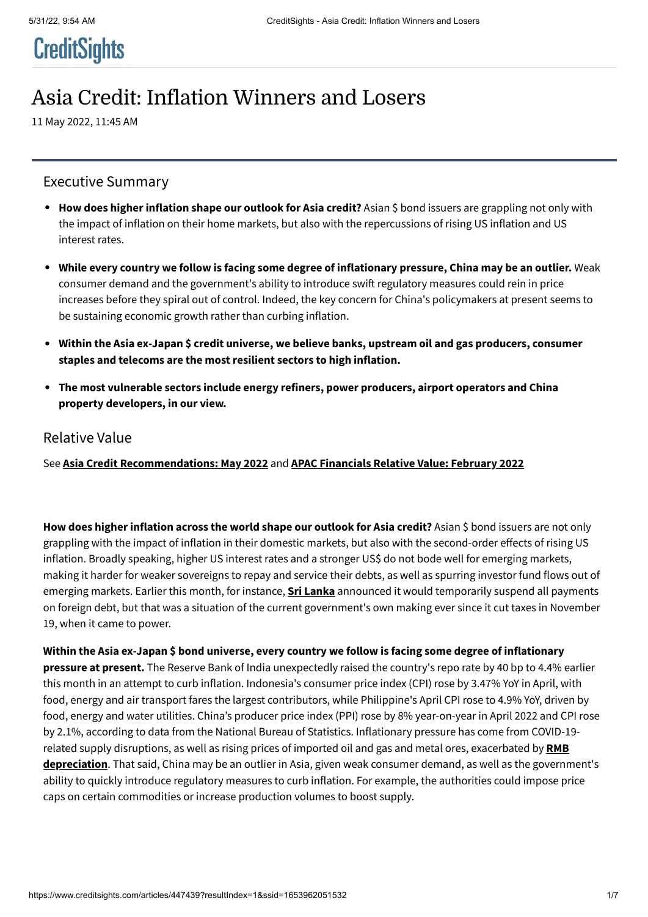# **CreditSights**

## Asia Credit: Inflation Winners and Losers

11 May 2022, 11:45 AM

## Executive Summary

- **How does higher inflation shape our outlook for Asia credit?** Asian \$ bond issuers are grappling not only with the impact of inflation on their home markets, but also with the repercussions of rising US inflation and US interest rates.
- **While every country we follow is facing some degree of inflationary pressure, China may be an outlier.** Weak consumer demand and the government's ability to introduce swift regulatory measures could rein in price increases before they spiral out of control. Indeed, the key concern for China's policymakers at present seems to be sustaining economic growth rather than curbing inflation.
- **Within the Asia ex-Japan \$ credit universe, we believe banks, upstream oil and gas producers, consumer staples and telecoms are the most resilient sectors to high inflation.**
- **The most vulnerable sectors include energy refiners, power producers, airport operators and China property developers, in our view.**

### Relative Value

See **[Asia Credit Recommendations: May 2022](https://www.creditsights.com/articles/443807)** and **[APAC Financials Relative Value: February 2022](https://www.creditsights.com/articles/433892)**

**How does higher inflation across the world shape our outlook for Asia credit?** Asian \$ bond issuers are not only grappling with the impact of inflation in their domestic markets, but also with the second-order effects of rising US inflation. Broadly speaking, higher US interest rates and a stronger US\$ do not bode well for emerging markets, making it harder for weaker sovereigns to repay and service their debts, as well as spurring investor fund flows out of emerging markets. Earlier this month, for instance, **[Sri Lanka](https://www.creditsights.com/articles/442663)** announced it would temporarily suspend all payments on foreign debt, but that was a situation of the current government's own making ever since it cut taxes in November 19, when it came to power.

**Within the Asia ex-Japan \$ bond universe, every country we follow is facing some degree of inflationary pressure at present.** The Reserve Bank of India unexpectedly raised the country's repo rate by 40 bp to 4.4% earlier this month in an attempt to curb inflation. Indonesia's consumer price index (CPI) rose by 3.47% YoY in April, with food, energy and air transport fares the largest contributors, while Philippine's April CPI rose to 4.9% YoY, driven by food, energy and water utilities. China's producer price index (PPI) rose by 8% year-on-year in April 2022 and CPI rose by 2.1%, according to data from the National Bureau of Statistics. Inflationary pressure has come from COVID-19 [related supply disruptions, as well as rising prices of imported oil and gas and metal ores, exacerbated by](https://www.creditsights.com/articles/443851) **RMB depreciation**. That said, China may be an outlier in Asia, given weak consumer demand, as well as the government's ability to quickly introduce regulatory measures to curb inflation. For example, the authorities could impose price caps on certain commodities or increase production volumes to boost supply.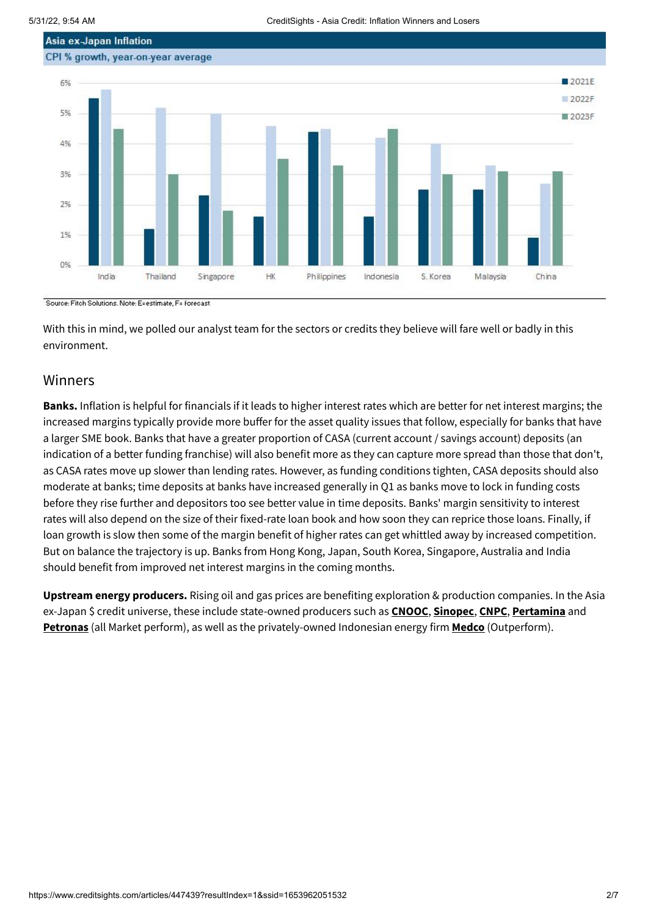

Source: Fitch Solutions, Note: E=estimate, F= forecast

With this in mind, we polled our analyst team for the sectors or credits they believe will fare well or badly in this environment.

## Winners

**Banks.** Inflation is helpful for financials if it leads to higher interest rates which are better for net interest margins; the increased margins typically provide more buffer for the asset quality issues that follow, especially for banks that have a larger SME book. Banks that have a greater proportion of CASA (current account / savings account) deposits (an indication of a better funding franchise) will also benefit more as they can capture more spread than those that don't, as CASA rates move up slower than lending rates. However, as funding conditions tighten, CASA deposits should also moderate at banks; time deposits at banks have increased generally in Q1 as banks move to lock in funding costs before they rise further and depositors too see better value in time deposits. Banks' margin sensitivity to interest rates will also depend on the size of their fixed-rate loan book and how soon they can reprice those loans. Finally, if loan growth is slow then some of the margin benefit of higher rates can get whittled away by increased competition. But on balance the trajectory is up. Banks from Hong Kong, Japan, South Korea, Singapore, Australia and India should benefit from improved net interest margins in the coming months.

**Upstream energy producers.** Rising oil and gas prices are benefiting exploration & production companies. In the Asia ex-Japan \$ credit universe, these include state-owned producers such as **[CNOOC](https://www.creditsights.com/articles/444083)**, **[Sinopec](https://www.creditsights.com/articles/444518)**, **[CNPC](https://www.creditsights.com/articles/446987)**, **[Pertamina](https://www.creditsights.com/articles/419939)** and **[Petronas](https://www.creditsights.com/articles/435043)** (all Market perform), as well as the privately-owned Indonesian energy firm **[Medco](https://www.creditsights.com/articles/422686)** (Outperform).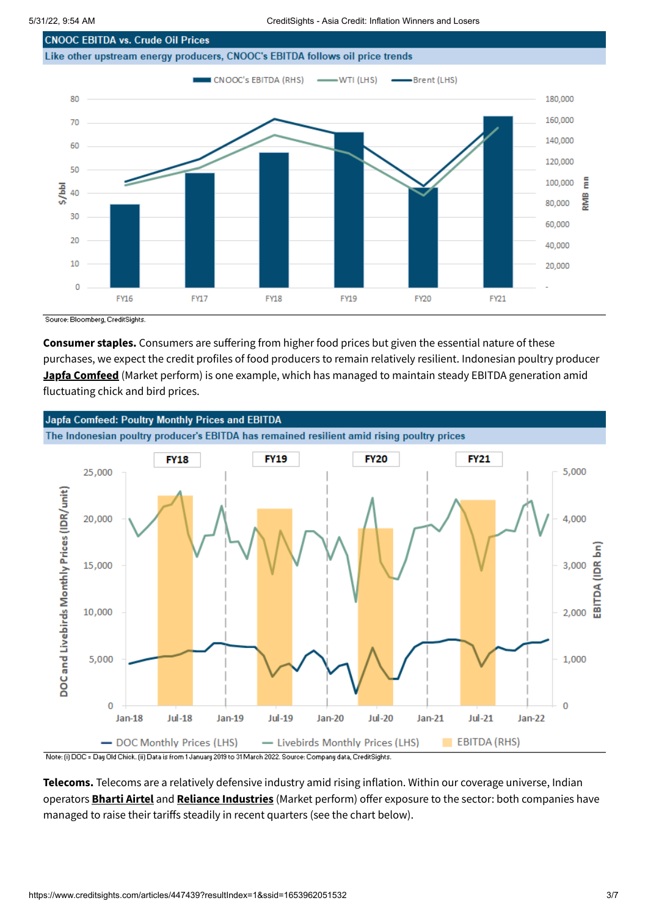

Source: Bloomberg, CreditSights.

**FY16** 

**FY17** 

20

10

 $\overline{0}$ 

**Consumer staples.** Consumers are suffering from higher food prices but given the essential nature of these purchases, we expect the credit profiles of food producers to remain relatively resilient. Indonesian poultry producer **[Japfa Comfeed](https://www.creditsights.com/articles/435044)** (Market perform) is one example, which has managed to maintain steady EBITDA generation amid fluctuating chick and bird prices.

**FY19** 

**FY20** 

**FY18** 



Note: (i) DOC = Day Old Chick. (ii) Data is from 1 January 2019 to 31 March 2022. Source: Company data, CreditSights.

**Telecoms.** Telecoms are a relatively defensive industry amid rising inflation. Within our coverage universe, Indian operators **[Bharti Airtel](https://www.creditsights.com/articles/433565)** and **[Reliance Industries](https://www.creditsights.com/articles/447461)** (Market perform) offer exposure to the sector: both companies have managed to raise their tariffs steadily in recent quarters (see the chart below).

40,000

20,000

FY21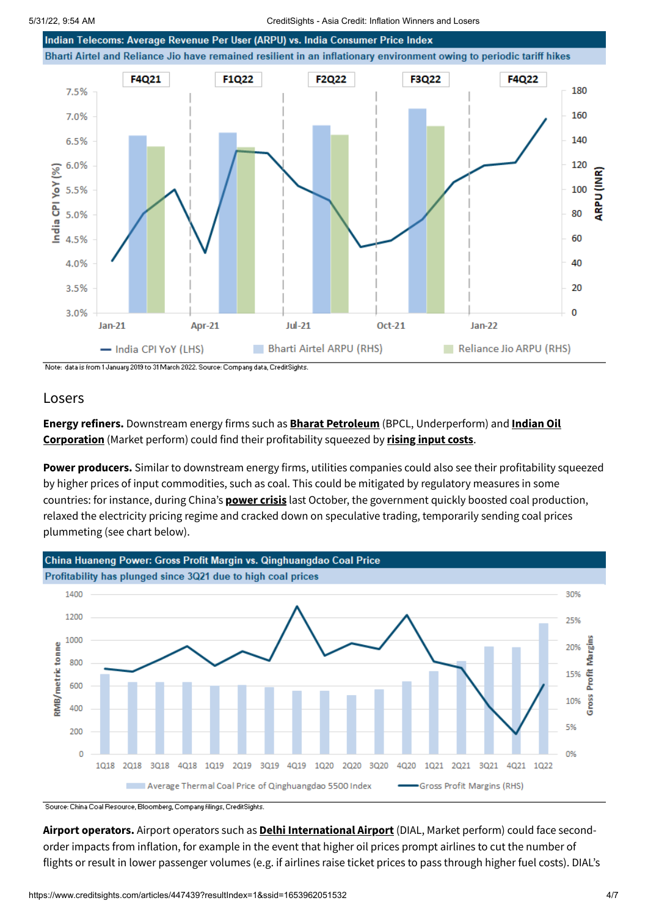

Note: data is from 1 January 2019 to 31 March 2022. Source: Company data, CreditSights.

### Losers

**Energy refiners.** Downstream energy firms such as **[Bharat Petroleum](https://www.creditsights.com/articles/430014)** (BPCL, Underperform) and **Indian Oil Corporation** [\(Market perform\) could find their profitability squeezed by](https://www.creditsights.com/articles/429754) **[rising input costs](https://www.creditsights.com/articles/436136)**.

**Power producers.** Similar to downstream energy firms, utilities companies could also see their profitability squeezed by higher prices of input commodities, such as coal. This could be mitigated by regulatory measures in some countries: for instance, during China's **[power crisis](https://www.creditsights.com/articles/411350)** last October, the government quickly boosted coal production, relaxed the electricity pricing regime and cracked down on speculative trading, temporarily sending coal prices plummeting (see chart below).



Source: China Coal Resource, Bloomberg, Company filings, CreditSights.

**Airport operators.** Airport operators such as **[Delhi International Airport](https://www.creditsights.com/articles/439165)** (DIAL, Market perform) could face secondorder impacts from inflation, for example in the event that higher oil prices prompt airlines to cut the number of flights or result in lower passenger volumes (e.g. if airlines raise ticket prices to pass through higher fuel costs). DIAL's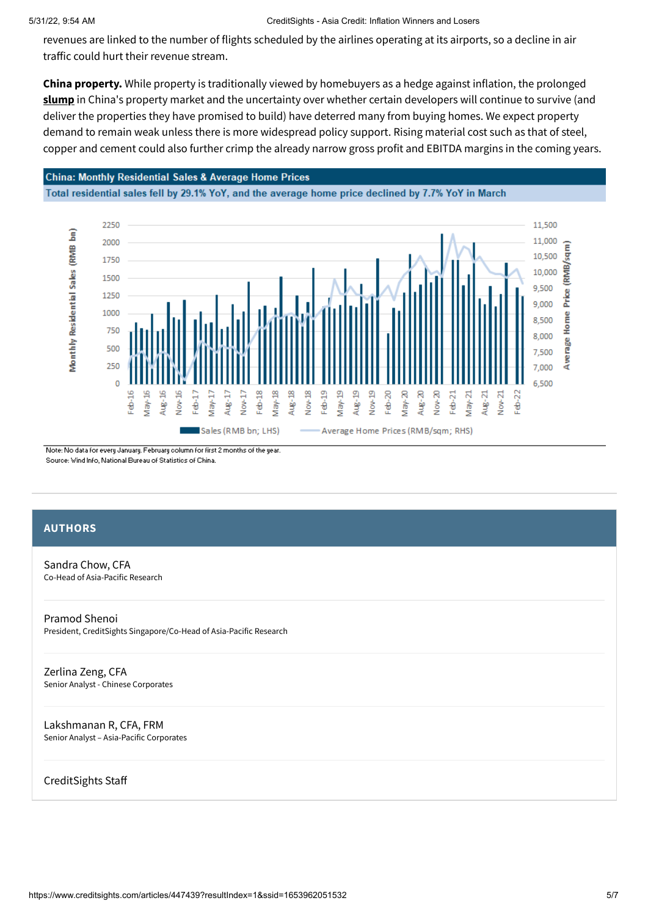#### 5/31/22, 9:54 AM CreditSights - Asia Credit: Inflation Winners and Losers

revenues are linked to the number of flights scheduled by the airlines operating at its airports, so a decline in air traffic could hurt their revenue stream.

**China property.** While property is traditionally viewed by homebuyers as a hedge against inflation, the prolonged **[slump](https://www.creditsights.com/articles/442578)** in China's property market and the uncertainty over whether certain developers will continue to survive (and deliver the properties they have promised to build) have deterred many from buying homes. We expect property demand to remain weak unless there is more widespread policy support. Rising material cost such as that of steel, copper and cement could also further crimp the already narrow gross profit and EBITDA margins in the coming years.

#### **China: Monthly Residential Sales & Average Home Prices**

Total residential sales fell by 29.1% YoY, and the average home price declined by 7.7% YoY in March



Note: No data for every January. February column for first 2 months of the year. Source: Wind Info, National Bureau of Statistics of China

#### **AUTHORS**

[Sandra Chow, CFA](https://www.creditsights.com/about/team/schow) Co-Head of Asia-Pacific Research

[Pramod Shenoi](https://www.creditsights.com/about/team/pshenoi) President, CreditSights Singapore/Co-Head of Asia-Pacific Research

[Zerlina Zeng, CFA](https://www.creditsights.com/about/team/zzeng) Senior Analyst - Chinese Corporates

[Lakshmanan R, CFA, FRM](https://www.creditsights.com/about/team/lr) Senior Analyst – Asia-Pacific Corporates

CreditSights Staff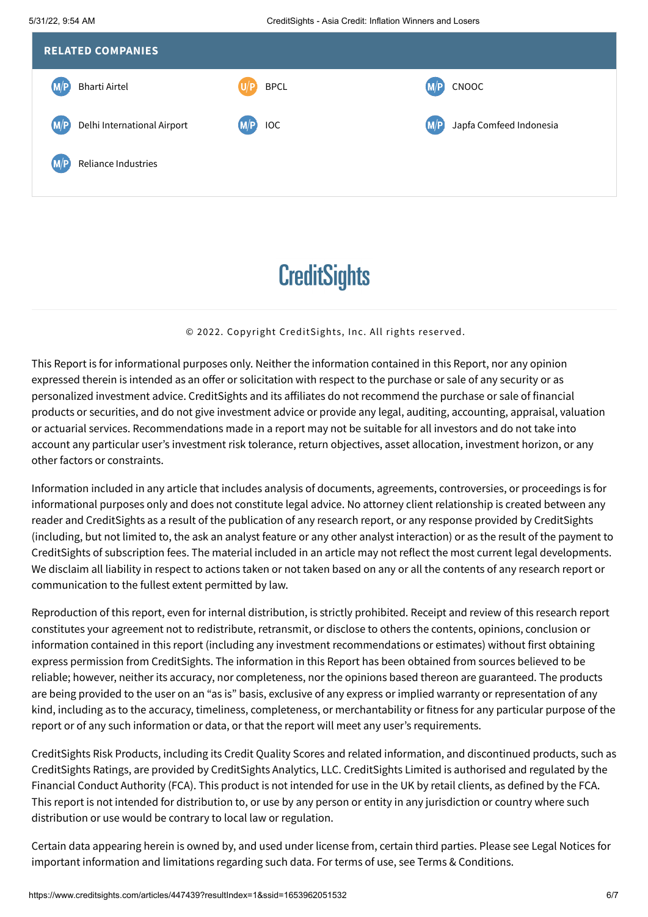

## **CreditSights**

#### © 2022. Copyright CreditSights, Inc. All rights reser ved.

This Report is for informational purposes only. Neither the information contained in this Report, nor any opinion expressed therein is intended as an offer or solicitation with respect to the purchase or sale of any security or as personalized investment advice. CreditSights and its affiliates do not recommend the purchase or sale of financial products or securities, and do not give investment advice or provide any legal, auditing, accounting, appraisal, valuation or actuarial services. Recommendations made in a report may not be suitable for all investors and do not take into account any particular user's investment risk tolerance, return objectives, asset allocation, investment horizon, or any other factors or constraints.

Information included in any article that includes analysis of documents, agreements, controversies, or proceedings is for informational purposes only and does not constitute legal advice. No attorney client relationship is created between any reader and CreditSights as a result of the publication of any research report, or any response provided by CreditSights (including, but not limited to, the ask an analyst feature or any other analyst interaction) or as the result of the payment to CreditSights of subscription fees. The material included in an article may not reflect the most current legal developments. We disclaim all liability in respect to actions taken or not taken based on any or all the contents of any research report or communication to the fullest extent permitted by law.

Reproduction of this report, even for internal distribution, is strictly prohibited. Receipt and review of this research report constitutes your agreement not to redistribute, retransmit, or disclose to others the contents, opinions, conclusion or information contained in this report (including any investment recommendations or estimates) without first obtaining express permission from CreditSights. The information in this Report has been obtained from sources believed to be reliable; however, neither its accuracy, nor completeness, nor the opinions based thereon are guaranteed. The products are being provided to the user on an "as is" basis, exclusive of any express or implied warranty or representation of any kind, including as to the accuracy, timeliness, completeness, or merchantability or fitness for any particular purpose of the report or of any such information or data, or that the report will meet any user's requirements.

CreditSights Risk Products, including its Credit Quality Scores and related information, and discontinued products, such as CreditSights Ratings, are provided by CreditSights Analytics, LLC. CreditSights Limited is authorised and regulated by the Financial Conduct Authority (FCA). This product is not intended for use in the UK by retail clients, as defined by the FCA. This report is not intended for distribution to, or use by any person or entity in any jurisdiction or country where such distribution or use would be contrary to local law or regulation.

Certain data appearing herein is owned by, and used under license from, certain third parties. Please see Legal Notices for important information and limitations regarding such data. For terms of use, see Terms & Conditions.